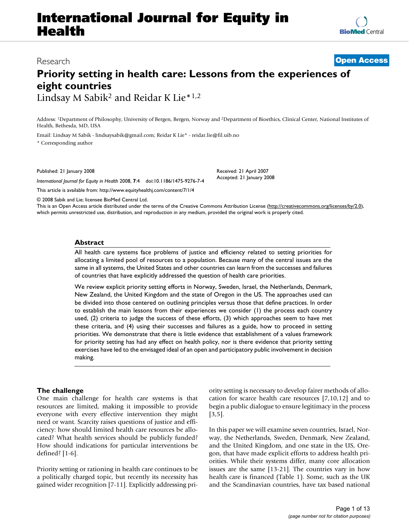# **International Journal for Equity in Health**

## Research **[Open Access](http://www.biomedcentral.com/info/about/charter/) Priority setting in health care: Lessons from the experiences of eight countries** Lindsay M Sabik2 and Reidar K Lie\*1,2

Address: 1Department of Philosophy, University of Bergen, Bergen, Norway and 2Department of Bioethics, Clinical Center, National Institutes of Health, Bethesda, MD, USA

Email: Lindsay M Sabik - lindsaysabik@gmail.com; Reidar K Lie\* - reidar.lie@fil.uib.no \* Corresponding author

Published: 21 January 2008

*International Journal for Equity in Health* 2008, **7**:4 doi:10.1186/1475-9276-7-4

[This article is available from: http://www.equityhealthj.com/content/7/1/4](http://www.equityhealthj.com/content/7/1/4)

Received: 21 April 2007 Accepted: 21 January 2008

© 2008 Sabik and Lie; licensee BioMed Central Ltd.

This is an Open Access article distributed under the terms of the Creative Commons Attribution License [\(http://creativecommons.org/licenses/by/2.0\)](http://creativecommons.org/licenses/by/2.0), which permits unrestricted use, distribution, and reproduction in any medium, provided the original work is properly cited.

#### **Abstract**

All health care systems face problems of justice and efficiency related to setting priorities for allocating a limited pool of resources to a population. Because many of the central issues are the same in all systems, the United States and other countries can learn from the successes and failures of countries that have explicitly addressed the question of health care priorities.

We review explicit priority setting efforts in Norway, Sweden, Israel, the Netherlands, Denmark, New Zealand, the United Kingdom and the state of Oregon in the US. The approaches used can be divided into those centered on outlining principles versus those that define practices. In order to establish the main lessons from their experiences we consider (1) the process each country used, (2) criteria to judge the success of these efforts, (3) which approaches seem to have met these criteria, and (4) using their successes and failures as a guide, how to proceed in setting priorities. We demonstrate that there is little evidence that establishment of a values framework for priority setting has had any effect on health policy, nor is there evidence that priority setting exercises have led to the envisaged ideal of an open and participatory public involvement in decision making.

#### **The challenge**

One main challenge for health care systems is that resources are limited, making it impossible to provide everyone with every effective intervention they might need or want. Scarcity raises questions of justice and efficiency: how should limited health care resources be allocated? What health services should be publicly funded? How should indications for particular interventions be defined? [1-6].

Priority setting or rationing in health care continues to be a politically charged topic, but recently its necessity has gained wider recognition [7-11]. Explicitly addressing priority setting is necessary to develop fairer methods of allocation for scarce health care resources [7,10,12] and to begin a public dialogue to ensure legitimacy in the process [3,5].

In this paper we will examine seven countries, Israel, Norway, the Netherlands, Sweden, Denmark, New Zealand, and the United Kingdom, and one state in the US, Oregon, that have made explicit efforts to address health priorities. While their systems differ, many core allocation issues are the same [13-21]. The countries vary in how health care is financed (Table 1). Some, such as the UK and the Scandinavian countries, have tax based national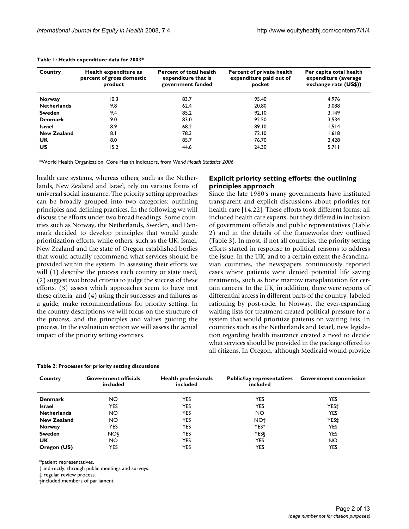| Country            | Health expenditure as<br>percent of gross domestic<br>product | <b>Percent of total health</b><br>expenditure that is<br>government funded | Percent of private health<br>expenditure paid out of<br>pocket | Per capita total health<br>expenditure (average<br>exchange rate (US\$)) |
|--------------------|---------------------------------------------------------------|----------------------------------------------------------------------------|----------------------------------------------------------------|--------------------------------------------------------------------------|
| Norway             | 10.3                                                          | 83.7                                                                       | 95.40                                                          | 4.976                                                                    |
| <b>Netherlands</b> | 9.8                                                           | 62.4                                                                       | 20.80                                                          | 3.088                                                                    |
| <b>Sweden</b>      | 9.4                                                           | 85.2                                                                       | 92.10                                                          | 3.149                                                                    |
| <b>Denmark</b>     | 9.0                                                           | 83.0                                                                       | 92.50                                                          | 3.534                                                                    |
| <b>Israel</b>      | 8.9                                                           | 68.2                                                                       | 89.10                                                          | 1,514                                                                    |
| <b>New Zealand</b> | 8.1                                                           | 78.3                                                                       | 72.10                                                          | 1.618                                                                    |
| UK                 | 8.0                                                           | 85.7                                                                       | 76.70                                                          | 2.428                                                                    |
| US                 | 15.2                                                          | 44.6                                                                       | 24.30                                                          | 5,711                                                                    |

**Table 1: Health expenditure data for 2003\***

\*World Health Organization, Core Health Indicators, from *World Health Statistics 2006*

health care systems, whereas others, such as the Netherlands, New Zealand and Israel, rely on various forms of universal social insurance. The priority setting approaches can be broadly grouped into two categories: outlining principles and defining practices. In the following we will discuss the efforts under two broad headings. Some countries such as Norway, the Netherlands, Sweden, and Denmark decided to develop principles that would guide prioritization efforts, while others, such as the UK, Israel, New Zealand and the state of Oregon established bodies that would actually recommend what services should be provided within the system. In assessing their efforts we will (1) describe the process each country or state used, (2) suggest two broad criteria to judge the success of these efforts, (3) assess which approaches seem to have met these criteria, and (4) using their successes and failures as a guide, make recommendations for priority setting. In the country descriptions we will focus on the structure of the process, and the principles and values guiding the process. In the evaluation section we will assess the actual impact of the priority setting exercises.

#### **Table 2: Processes for priority setting discussions**

#### **Explicit priority setting efforts: the outlining principles approach**

Since the late 1980's many governments have instituted transparent and explicit discussions about priorities for health care [14,22]. These efforts took different forms: all included health care experts, but they differed in inclusion of government officials and public representatives (Table 2) and in the details of the frameworks they outlined (Table 3). In most, if not all countries, the priority setting efforts started in response to political reasons to address the issue. In the UK, and to a certain extent the Scandinavian countries, the newspapers continuously reported cases where patients were denied potential life saving treatments, such as bone marrow transplantation for certain cancers. In the UK, in addition, there were reports of differential access in different parts of the country, labeled rationing by post-code. In Norway, the ever-expanding waiting lists for treatment created political pressure for a system that would prioritize patients on waiting lists. In countries such as the Netherlands and Israel, new legislation regarding health insurance created a need to decide what services should be provided in the package offered to all citizens. In Oregon, although Medicaid would provide

| Country            | <b>Government officials</b><br>included | <b>Health professionals</b><br>included | included        | <b>Public/lay representatives</b> Government commission |
|--------------------|-----------------------------------------|-----------------------------------------|-----------------|---------------------------------------------------------|
| <b>Denmark</b>     | NO                                      | YES                                     | YES             | YES                                                     |
| <b>Israel</b>      | YES                                     | YES                                     | <b>YES</b>      | YES:                                                    |
| <b>Netherlands</b> | <b>NO</b>                               | YES                                     | <b>NO</b>       | YES                                                     |
| <b>New Zealand</b> | NO                                      | YES                                     | NO <sup>+</sup> | YES‡                                                    |
| Norway             | YES                                     | YES                                     | YES*            | YES                                                     |
| <b>Sweden</b>      | NO <sub>§</sub>                         | YES                                     | <b>YES</b>      | <b>YES</b>                                              |
| UK                 | NO                                      | YES                                     | <b>YES</b>      | NO.                                                     |
| Oregon (US)        | YES                                     | YES                                     | YES             | YES                                                     |

\*patient representatives.

† indirectly, through public meetings and surveys.

‡ regular review process.

§included members of parliament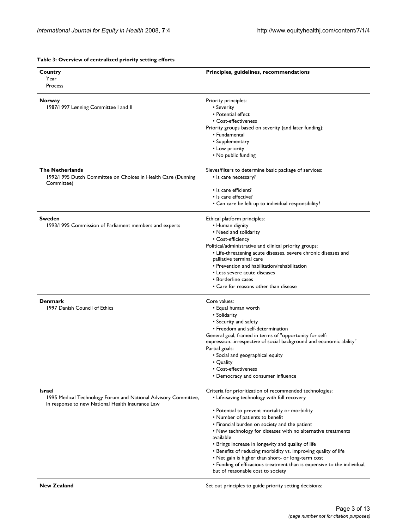| Country                                                                                                            | Principles, guidelines, recommendations                                                                      |
|--------------------------------------------------------------------------------------------------------------------|--------------------------------------------------------------------------------------------------------------|
| Year                                                                                                               |                                                                                                              |
| Process                                                                                                            |                                                                                                              |
| Norway                                                                                                             | Priority principles:                                                                                         |
| 1987/1997 Lønning Committee I and II                                                                               | • Severity                                                                                                   |
|                                                                                                                    | • Potential effect                                                                                           |
|                                                                                                                    | • Cost-effectiveness                                                                                         |
|                                                                                                                    | Priority groups based on severity (and later funding):                                                       |
|                                                                                                                    | • Fundamental                                                                                                |
|                                                                                                                    | • Supplementary                                                                                              |
|                                                                                                                    | • Low priority                                                                                               |
|                                                                                                                    | • No public funding                                                                                          |
| <b>The Netherlands</b>                                                                                             | Sieves/filters to determine basic package of services:                                                       |
| 1992/1995 Dutch Committee on Choices in Health Care (Dunning<br>Committee)                                         | • Is care necessary?                                                                                         |
|                                                                                                                    | • Is care efficient?                                                                                         |
|                                                                                                                    | • Is care effective?                                                                                         |
|                                                                                                                    | • Can care be left up to individual responsibility?                                                          |
| <b>Sweden</b>                                                                                                      | Ethical platform principles:                                                                                 |
| 1993/1995 Commission of Parliament members and experts                                                             | • Human dignity                                                                                              |
|                                                                                                                    | • Need and solidarity                                                                                        |
|                                                                                                                    | • Cost-efficiency                                                                                            |
|                                                                                                                    | Political/administrative and clinical priority groups:                                                       |
|                                                                                                                    | • Life-threatening acute diseases, severe chronic diseases and<br>palliative terminal care                   |
|                                                                                                                    | • Prevention and habilitation/rehabilitation                                                                 |
|                                                                                                                    | • Less severe acute diseases                                                                                 |
|                                                                                                                    | • Borderline cases                                                                                           |
|                                                                                                                    | • Care for reasons other than disease                                                                        |
| Denmark                                                                                                            | Core values:                                                                                                 |
| 1997 Danish Council of Ethics                                                                                      | • Equal human worth                                                                                          |
|                                                                                                                    | • Solidarity                                                                                                 |
|                                                                                                                    | • Security and safety                                                                                        |
|                                                                                                                    | • Freedom and self-determination                                                                             |
|                                                                                                                    | General goal, framed in terms of "opportunity for self-                                                      |
|                                                                                                                    | expressionirrespective of social background and economic ability"                                            |
|                                                                                                                    | Partial goals:                                                                                               |
|                                                                                                                    | • Social and geographical equity                                                                             |
|                                                                                                                    | • Quality                                                                                                    |
|                                                                                                                    | • Cost-effectiveness                                                                                         |
|                                                                                                                    | • Democracy and consumer influence                                                                           |
| Israel                                                                                                             | Criteria for prioritization of recommended technologies:                                                     |
| 1995 Medical Technology Forum and National Advisory Committee,<br>In response to new National Health Insurance Law | • Life-saving technology with full recovery                                                                  |
|                                                                                                                    | • Potential to prevent mortality or morbidity                                                                |
|                                                                                                                    | • Number of patients to benefit                                                                              |
|                                                                                                                    | • Financial burden on society and the patient                                                                |
|                                                                                                                    | • New technology for diseases with no alternative treatments<br>available                                    |
|                                                                                                                    | • Brings increase in longevity and quality of life                                                           |
|                                                                                                                    | • Benefits of reducing morbidity vs. improving quality of life                                               |
|                                                                                                                    | • Net gain is higher than short- or long-term cost                                                           |
|                                                                                                                    | • Funding of efficacious treatment than is expensive to the individual,<br>but of reasonable cost to society |

#### **Table 3: Overview of centralized priority setting efforts**

**New Zealand** Set out principles to guide priority setting decisions: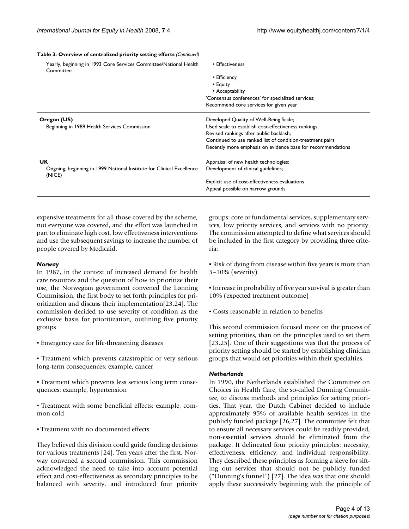| Table 3: Overview of centralized priority setting efforts (Continued) |  |  |  |
|-----------------------------------------------------------------------|--|--|--|
|-----------------------------------------------------------------------|--|--|--|

| Yearly, beginning in 1993 Core Services Committee/National Health<br>Committee  | • Effectiveness                                             |
|---------------------------------------------------------------------------------|-------------------------------------------------------------|
|                                                                                 | • Efficiency                                                |
|                                                                                 | • Equity                                                    |
|                                                                                 | • Acceptability                                             |
|                                                                                 | 'Consensus conferences' for specialized services;           |
|                                                                                 | Recommend core services for given year                      |
| Oregon (US)                                                                     | Developed Quality of Well-Being Scale;                      |
| Beginning in 1989 Health Services Commission                                    | Used scale to establish cost-effectiveness rankings;        |
|                                                                                 | Revised rankings after public backlash;                     |
|                                                                                 | Continued to use ranked list of condition-treatment pairs   |
|                                                                                 | Recently more emphasis on evidence base for recommendations |
| <b>UK</b>                                                                       | Appraisal of new health technologies;                       |
| Ongoing, beginning in 1999 National Institute for Clinical Excellence<br>(NICE) | Development of clinical guidelines;                         |
|                                                                                 | Explicit use of cost-effectiveness evaluations              |
|                                                                                 | Appeal possible on narrow grounds                           |

expensive treatments for all those covered by the scheme, not everyone was covered, and the effort was launched in part to eliminate high cost, low effectiveness interventions and use the subsequent savings to increase the number of people covered by Medicaid.

#### *Norway*

In 1987, in the context of increased demand for health care resources and the question of how to prioritize their use, the Norwegian government convened the Lønning Commission, the first body to set forth principles for prioritization and discuss their implementation[23,24]. The commission decided to use severity of condition as the exclusive basis for prioritization, outlining five priority groups

- Emergency care for life-threatening diseases
- Treatment which prevents catastrophic or very serious long-term consequences: example, cancer
- Treatment which prevents less serious long term consequences: example, hypertension
- Treatment with some beneficial effects: example, common cold
- Treatment with no documented effects

They believed this division could guide funding decisions for various treatments [24]. Ten years after the first, Norway convened a second commission. This commission acknowledged the need to take into account potential effect and cost-effectiveness as secondary principles to be balanced with severity, and introduced four priority groups: core or fundamental services, supplementary services, low priority services, and services with no priority. The commission attempted to define what services should be included in the first category by providing three criteria:

▪ Risk of dying from disease within five years is more than 5–10% (severity)

- Increase in probability of five year survival is greater than 10% (expected treatment outcome)
- Costs reasonable in relation to benefits

This second commission focused more on the process of setting priorities, than on the principles used to set them [23,25]. One of their suggestions was that the process of priority setting should be started by establishing clinician groups that would set priorities within their specialties.

#### *Netherlands*

In 1990, the Netherlands established the Committee on Choices in Health Care, the so-called Dunning Committee, to discuss methods and principles for setting priorities. That year, the Dutch Cabinet decided to include approximately 95% of available health services in the publicly funded package [26,27]. The committee felt that to ensure all necessary services could be readily provided, non-essential services should be eliminated from the package. It delineated four priority principles: necessity, effectiveness, efficiency, and individual responsibility. They described these principles as forming a sieve for sifting out services that should not be publicly funded ("Dunning's funnel") [27]. The idea was that one should apply these successively beginning with the principle of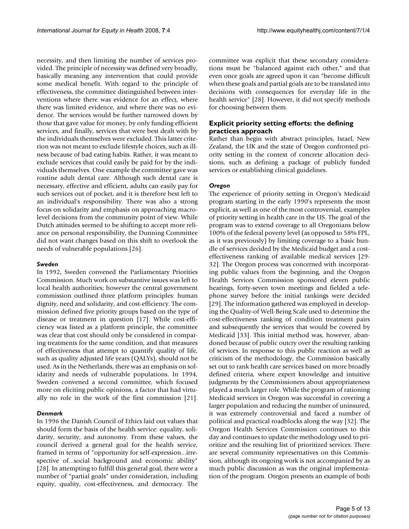necessity, and then limiting the number of services provided. The principle of necessity was defined very broadly, basically meaning any intervention that could provide some medical benefit. With regard to the principle of effectiveness, the committee distinguished between interventions where there was evidence for an effect, where there was limited evidence, and where there was no evidence. The services would be further narrowed down by those that gave value for money, by only funding efficient services, and finally, services that were best dealt with by the individuals themselves were excluded. This latter criterion was not meant to exclude lifestyle choices, such as illness because of bad eating habits. Rather, it was meant to exclude services that could easily be paid for by the individuals themselves. One example the committee gave was routine adult dental care. Although such dental care is necessary, effective and efficient, adults can easily pay for such services out of pocket, and it is therefore best left to an individual's responsibility. There was also a strong focus on solidarity and emphasis on approaching macrolevel decisions from the community point of view. While Dutch attitudes seemed to be shifting to accept more reliance on personal responsibility, the Dunning Committee did not want changes based on this shift to overlook the needs of vulnerable populations [26].

#### *Sweden*

In 1992, Sweden convened the Parliamentary Priorities Commission. Much work on substantive issues was left to local health authorities; however the central government commission outlined three platform principles: human dignity, need and solidarity, and cost-efficiency. The commission defined five priority groups based on the type of disease or treatment in question [17]. While cost-efficiency was listed as a platform principle, the committee was clear that cost should only be considered in comparing treatments for the same condition, and that measures of effectiveness that attempt to quantify quality of life, such as quality adjusted life years (QALYs), should not be used. As in the Netherlands, there was an emphasis on solidarity and needs of vulnerable populations. In 1994, Sweden convened a second committee, which focused more on eliciting public opinions, a factor that had virtually no role in the work of the first commission [21].

#### *Denmark*

In 1996 the Danish Council of Ethics laid out values that should form the basis of the health service: equality, solidarity, security, and autonomy. From these values, the council derived a general goal for the health service, framed in terms of "opportunity for self-expression...irrespective of...social background and economic ability" [28]. In attempting to fulfill this general goal, there were a number of "partial goals" under consideration, including equity, quality, cost-effectiveness, and democracy. The committee was explicit that these secondary considerations must be "balanced against each other," and that even once goals are agreed upon it can "become difficult when these goals and partial goals are to be translated into decisions with consequences for everyday life in the health service" [28]. However, it did not specify methods for choosing between them.

#### **Explicit priority setting efforts: the defining practices approach**

Rather than begin with abstract principles, Israel, New Zealand, the UK and the state of Oregon confronted priority setting in the context of concrete allocation decisions, such as defining a package of publicly funded services or establishing clinical guidelines.

#### *Oregon*

The experience of priority setting in Oregon's Medicaid program starting in the early 1990's represents the most explicit, as well as one of the most controversial, examples of priority setting in health care in the US. The goal of the program was to extend coverage to all Oregonians below 100% of the federal poverty level (as opposed to 58% FPL, as it was previously) by limiting coverage to a basic bundle of services decided by the Medicaid budget and a costeffectiveness ranking of available medical services [29- 32]. The Oregon process was concerned with incorporating public values from the beginning, and the Oregon Health Services Commission sponsored eleven public hearings, forty-seven town meetings and fielded a telephone survey before the initial rankings were decided [29]. The information gathered was employed in developing the Quality-of Well-Being Scale used to determine the cost-effectiveness ranking of condition treatment pairs and subsequently the services that would be covered by Medicaid [33]. This initial method was, however, abandoned because of public outcry over the resulting ranking of services. In response to this public reaction as well as criticism of the methodology, the Commission basically set out to rank health care services based on more broadly defined criteria, where expert knowledge and intuitive judgments by the Commissioners about appropriateness played a much larger role. While the program of rationing Medicaid services in Oregon was successful in covering a larger population and reducing the number of uninsured, it was extremely controversial and faced a number of political and practical roadblocks along the way [32]. The Oregon Health Services Commission continues to this day and continues to update the methodology used to prioritize and the resulting list of prioritized services. There are several community representatives on this Commission, although its ongoing work is not accompanied by as much public discussion as was the original implementation of the program. Oregon presents an example of both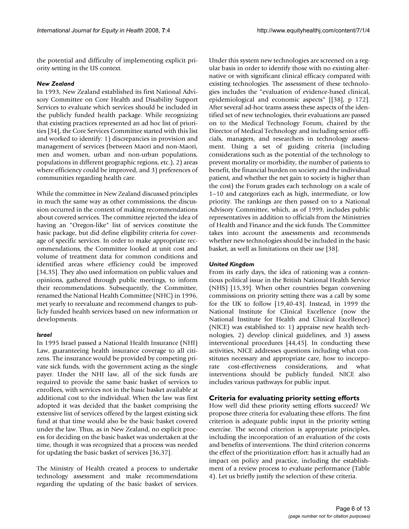the potential and difficulty of implementing explicit priority setting in the US context.

#### *New Zealand*

In 1993, New Zealand established its first National Advisory Committee on Core Health and Disability Support Services to evaluate which services should be included in the publicly funded health package. While recognizing that existing practices represented an ad hoc list of priorities [34], the Core Services Committee started with this list and worked to identify: 1) discrepancies in provision and management of services (between Maori and non-Maori, men and women, urban and non-urban populations, populations in different geographic regions, etc.), 2) areas where efficiency could be improved, and 3) preferences of communities regarding health care.

While the committee in New Zealand discussed principles in much the same way as other commissions, the discussion occurred in the context of making recommendations about covered services. The committee rejected the idea of having an "Oregon-like" list of services constitute the basic package, but did define eligibility criteria for coverage of specific services. In order to make appropriate recommendations, the Committee looked at unit cost and volume of treatment data for common conditions and identified areas where efficiency could be improved [34,35]. They also used information on public values and opinions, gathered through public meetings, to inform their recommendations. Subsequently, the Committee, renamed the National Health Committee (NHC) in 1996, met yearly to reevaluate and recommend changes to publicly funded health services based on new information or developments.

#### *Israel*

In 1995 Israel passed a National Health Insurance (NHI) Law, guaranteeing health insurance coverage to all citizens. The insurance would be provided by competing private sick funds, with the government acting as the single payer. Under the NHI law, all of the sick funds are required to provide the same basic basket of services to enrollees, with services not in the basic basket available at additional cost to the individual. When the law was first adopted it was decided that the basket comprising the extensive list of services offered by the largest existing sick fund at that time would also be the basic basket covered under the law. Thus, as in New Zealand, no explicit process for deciding on the basic basket was undertaken at the time, though it was recognized that a process was needed for updating the basic basket of services [36,37].

The Ministry of Health created a process to undertake technology assessment and make recommendations regarding the updating of the basic basket of services.

Under this system new technologies are screened on a regular basis in order to identify those with no existing alternative or with significant clinical efficacy compared with existing technologies. The assessment of these technologies includes the "evaluation of evidence-based clinical, epidemiological and economic aspects" [[38], p 172]. After several ad-hoc teams assess these aspects of the identified set of new technologies, their evaluations are passed on to the Medical Technology Forum, chaired by the Director of Medical Technology and including senior officials, managers, and researchers in technology assessment. Using a set of guiding criteria (including considerations such as the potential of the technology to prevent mortality or morbidity, the number of patients to benefit, the financial burden on society and the individual patient, and whether the net gain to society is higher than the cost) the Forum grades each technology on a scale of 1–10 and categorizes each as high, intermediate, or low priority. The rankings are then passed on to a National Advisory Committee, which, as of 1999, includes public representatives in addition to officials from the Ministries of Health and Finance and the sick funds. The Committee takes into account the assessments and recommends whether new technologies should be included in the basic basket, as well as limitations on their use [38].

#### *United Kingdom*

From its early days, the idea of rationing was a contentious political issue in the British National Health Service (NHS) [15,39]. When other countries began convening commissions on priority setting there was a call by some for the UK to follow [19,40-43]. Instead, in 1999 the National Institute for Clinical Excellence (now the National Institute for Health and Clinical Excellence) (NICE) was established to: 1) appraise new health technologies, 2) develop clinical guidelines, and 3) assess interventional procedures [44,45]. In conducting these activities, NICE addresses questions including what constitutes necessary and appropriate care, how to incorporate cost-effectiveness considerations, and what interventions should be publicly funded. NICE also includes various pathways for public input.

#### **Criteria for evaluating priority setting efforts**

How well did these priority setting efforts succeed? We propose three criteria for evaluating these efforts. The first criterion is adequate public input in the priority setting exercise. The second criterion is appropriate principles, including the incorporation of an evaluation of the costs and benefits of interventions. The third criterion concerns the effect of the prioritization effort: has it actually had an impact on policy and practice, including the establishment of a review process to evaluate performance (Table 4). Let us briefly justify the selection of these criteria.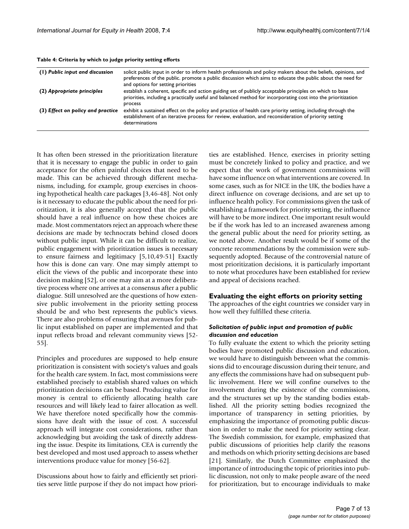| (1) Public input and discussion   | solicit public input in order to inform health professionals and policy makers about the beliefs, opinions, and<br>preferences of the public. promote a public discussion which aims to educate the public about the need for<br>and options for setting priorities |
|-----------------------------------|---------------------------------------------------------------------------------------------------------------------------------------------------------------------------------------------------------------------------------------------------------------------|
| (2) Appropriate principles        | establish a coherent, specific and action guiding set of publicly acceptable principles on which to base<br>priorities, including a practically useful and balanced method for incorporating cost into the prioritization<br>process                                |
| (3) Effect on policy and practice | exhibit a sustained effect on the policy and practice of health care priority setting, including through the<br>establishment of an iterative process for review, evaluation, and reconsideration of priority setting<br>determinations                             |

It has often been stressed in the prioritization literature that it is necessary to engage the public in order to gain acceptance for the often painful choices that need to be made. This can be achieved through different mechanisms, including, for example, group exercises in choosing hypothetical health care packages [3,46-48]. Not only is it necessary to educate the public about the need for prioritization, it is also generally accepted that the public should have a real influence on how these choices are made. Most commentators reject an approach where these decisions are made by technocrats behind closed doors without public input. While it can be difficult to realize, public engagement with prioritization issues is necessary to ensure fairness and legitimacy [5,10,49-51] Exactly how this is done can vary. One may simply attempt to elicit the views of the public and incorporate these into decision making [52], or one may aim at a more deliberative process where one arrives at a consensus after a public dialogue. Still unresolved are the questions of how extensive public involvement in the priority setting process should be and who best represents the public's views. There are also problems of ensuring that avenues for public input established on paper are implemented and that input reflects broad and relevant community views [52- 55].

Principles and procedures are supposed to help ensure prioritization is consistent with society's values and goals for the health care system. In fact, most commissions were established precisely to establish shared values on which prioritization decisions can be based. Producing value for money is central to efficiently allocating health care resources and will likely lead to fairer allocation as well. We have therefore noted specifically how the commissions have dealt with the issue of cost. A successful approach will integrate cost considerations, rather than acknowledging but avoiding the task of directly addressing the issue. Despite its limitations, CEA is currently the best developed and most used approach to assess whether interventions produce value for money [56-62].

Discussions about how to fairly and efficiently set priorities serve little purpose if they do not impact how priorities are established. Hence, exercises in priority setting must be concretely linked to policy and practice, and we expect that the work of government commissions will have some influence on what interventions are covered. In some cases, such as for NICE in the UK, the bodies have a direct influence on coverage decisions, and are set up to influence health policy. For commissions given the task of establishing a framework for priority setting, the influence will have to be more indirect. One important result would be if the work has led to an increased awareness among the general public about the need for priority setting, as we noted above. Another result would be if some of the concrete recommendations by the commission were subsequently adopted. Because of the controversial nature of most prioritization decisions, it is particularly important to note what procedures have been established for review and appeal of decisions reached.

### **Evaluating the eight efforts on priority setting**

The approaches of the eight countries we consider vary in how well they fulfilled these criteria.

#### *Solicitation of public input and promotion of public discussion and education*

To fully evaluate the extent to which the priority setting bodies have promoted public discussion and education, we would have to distinguish between what the commissions did to encourage discussion during their tenure, and any effects the commissions have had on subsequent public involvement. Here we will confine ourselves to the involvement during the existence of the commissions, and the structures set up by the standing bodies established. All the priority setting bodies recognized the importance of transparency in setting priorities, by emphasizing the importance of promoting public discussion in order to make the need for priority setting clear. The Swedish commission, for example, emphasized that public discussions of priorities help clarify the reasons and methods on which priority setting decisions are based [21]. Similarly, the Dutch Committee emphasized the importance of introducing the topic of priorities into public discussion, not only to make people aware of the need for prioritization, but to encourage individuals to make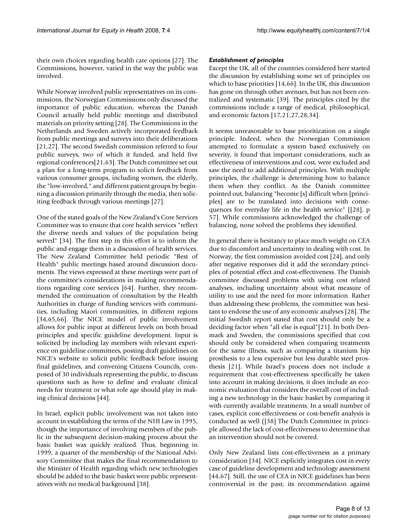their own choices regarding health care options [27]. The Commissions, however, varied in the way the public was involved.

While Norway involved public representatives on its commissions, the Norwegian Commissions only discussed the importance of public education, whereas the Danish Council actually held public meetings and distributed materials on priority setting [28]. The Commissions in the Netherlands and Sweden actively incorporated feedback from public meetings and surveys into their deliberations [21,27]. The second Swedish commission referred to four public surveys, two of which it funded, and held five regional conferences[21,63]. The Dutch committee set out a plan for a long-term program to solicit feedback from various consumer groups, including women, the elderly, the "low-involved," and different patient groups by beginning a discussion primarily through the media, then soliciting feedback through various meetings [27].

One of the stated goals of the New Zealand's Core Services Committee was to ensure that core health services "reflect the diverse needs and values of the population being served" [34]. The first step in this effort is to inform the public and engage them in a discussion of health services. The New Zealand Committee held periodic "Best of Health" public meetings based around discussion documents. The views expressed at these meetings were part of the committee's considerations in making recommendations regarding core services [64]. Further, they recommended the continuation of consultation by the Health Authorities in charge of funding services with communities, including Maori communities, in different regions [34,65,66]. The NICE model of public involvement allows for public input at different levels on both broad principles and specific guideline development. Input is solicited by including lay members with relevant experience on guideline committees, posting draft guidelines on NICE's website to solicit public feedback before issuing final guidelines, and convening Citizens Councils, composed of 30 individuals representing the public, to discuss questions such as how to define and evaluate clinical needs for treatment or what role age should play in making clinical decisions [44].

In Israel, explicit public involvement was not taken into account in establishing the terms of the NHI Law in 1995, though the importance of involving members of the public in the subsequent decision-making process about the basic basket was quickly realized. Thus, beginning in 1999, a quarter of the membership of the National Advisory Committee that makes the final recommendation to the Minister of Health regarding which new technologies should be added to the basic basket were public representatives with no medical background [38].

#### *Establishment of principles*

Except the UK, all of the countries considered here started the discussion by establishing some set of principles on which to base priorities [14,66]. In the UK, this discussion has gone on through other avenues, but has not been centralized and systematic [39]. The principles cited by the commissions include a range of medical, philosophical, and economic factors [17,21,27,28,34].

It seems unreasonable to base prioritization on a single principle. Indeed, when the Norwegian Commission attempted to formulate a system based exclusively on severity, it found that important considerations, such as effectiveness of interventions and cost, were excluded and saw the need to add additional principles. With multiple principles, the challenge is determining how to balance them when they conflict. As the Danish committee pointed out, balancing "become [s] difficult when [principles] are to be translated into decisions with consequences for everyday life in the health service" [[28], p 57]. While commissions acknowledged the challenge of balancing, none solved the problems they identified.

In general there is hesitancy to place much weight on CEA due to discomfort and uncertainty in dealing with cost. In Norway, the first commission avoided cost [24], and only after negative responses did it add the secondary principles of potential effect and cost-effectiveness. The Danish committee discussed problems with using cost related analyses, including uncertainty about what measure of utility to use and the need for more information. Rather than addressing these problems, the committee was hesitant to endorse the use of any economic analyses [28]. The initial Swedish report stated that cost should only be a deciding factor when "all else is equal"[21]. In both Denmark and Sweden, the commissions specified that cost should only be considered when comparing treatments for the same illness, such as comparing a titanium hip prosthesis to a less expensive but less durable steel prosthesis [21]. While Israel's process does not include a requirement that cost-effectiveness specifically be taken into account in making decisions, it does include an economic evaluation that considers the overall cost of including a new technology in the basic basket by comparing it with currently available treatments. In a small number of cases, explicit cost-effectiveness or cost-benefit analysis is conducted as well ([38] The Dutch Committee in principle allowed the lack of cost-effectiveness to determine that an intervention should not be covered.

Only New Zealand lists cost-effectiveness as a primary consideration [34]. NICE explicitly integrates cost in every case of guideline development and technology assessment [44,67]. Still, the use of CEA in NICE guidelines has been controversial in the past; its recommendation against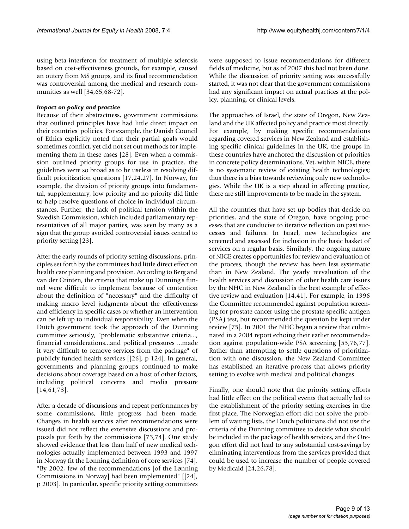using beta-interferon for treatment of multiple sclerosis based on cost-effectiveness grounds, for example, caused an outcry from MS groups, and its final recommendation was controversial among the medical and research communities as well [34,65,68-72].

#### *Impact on policy and practice*

Because of their abstractness, government commissions that outlined principles have had little direct impact on their countries' policies. For example, the Danish Council of Ethics explicitly noted that their partial goals would sometimes conflict, yet did not set out methods for implementing them in these cases [28]. Even when a commission outlined priority groups for use in practice, the guidelines were so broad as to be useless in resolving difficult prioritization questions [17,24,27]. In Norway, for example, the division of priority groups into fundamental, supplementary, low priority and no priority did little to help resolve questions of choice in individual circumstances. Further, the lack of political tension within the Swedish Commission, which included parliamentary representatives of all major parties, was seen by many as a sign that the group avoided controversial issues central to priority setting [23].

After the early rounds of priority setting discussions, principles set forth by the committees had little direct effect on health care planning and provision. According to Berg and van der Grinten, the criteria that make up Dunning's funnel were difficult to implement because of contention about the definition of "necessary" and the difficulty of making macro level judgments about the effectiveness and efficiency in specific cases or whether an intervention can be left up to individual responsibility. Even when the Dutch government took the approach of the Dunning committee seriously, "problematic substantive criteria..., financial considerations...and political pressures ...made it very difficult to remove services from the package" of publicly funded health services [[26], p 124]. In general, governments and planning groups continued to make decisions about coverage based on a host of other factors, including political concerns and media pressure [14,61,73].

After a decade of discussions and repeat performances by some commissions, little progress had been made. Changes in health services after recommendations were issued did not reflect the extensive discussions and proposals put forth by the commissions [73,74]. One study showed evidence that less than half of new medical technologies actually implemented between 1993 and 1997 in Norway fit the Lønning definition of core services [74]. "By 2002, few of the recommendations [of the Lønning Commissions in Norway] had been implemented" [[24], p 2003]. In particular, specific priority setting committees were supposed to issue recommendations for different fields of medicine, but as of 2007 this had not been done. While the discussion of priority setting was successfully started, it was not clear that the government commissions had any significant impact on actual practices at the policy, planning, or clinical levels.

The approaches of Israel, the state of Oregon, New Zealand and the UK affected policy and practice most directly. For example, by making specific recommendations regarding covered services in New Zealand and establishing specific clinical guidelines in the UK, the groups in these countries have anchored the discussion of priorities in concrete policy determinations. Yet, within NICE, there is no systematic review of existing health technologies; thus there is a bias towards reviewing only new technologies. While the UK is a step ahead in affecting practice, there are still improvements to be made in the system.

All the countries that have set up bodies that decide on priorities, and the state of Oregon, have ongoing processes that are conducive to iterative reflection on past successes and failures. In Israel, new technologies are screened and assessed for inclusion in the basic basket of services on a regular basis. Similarly, the ongoing nature of NICE creates opportunities for review and evaluation of the process, though the review has been less systematic than in New Zealand. The yearly reevaluation of the health services and discussion of other health care issues by the NHC in New Zealand is the best example of effective review and evaluation [14,41]. For example, in 1996 the Committee recommended against population screening for prostate cancer using the prostate specific antigen (PSA) test, but recommended the question be kept under review [75]. In 2001 the NHC began a review that culminated in a 2004 report echoing their earlier recommendation against population-wide PSA screening [53,76,77]. Rather than attempting to settle questions of prioritization with one discussion, the New Zealand Committee has established an iterative process that allows priority setting to evolve with medical and political changes.

Finally, one should note that the priority setting efforts had little effect on the political events that actually led to the establishment of the priority setting exercises in the first place. The Norwegian effort did not solve the problem of waiting lists, the Dutch politicians did not use the criteria of the Dunning committee to decide what should be included in the package of health services, and the Oregon effort did not lead to any substantial cost-savings by eliminating interventions from the services provided that could be used to increase the number of people covered by Medicaid [24,26,78].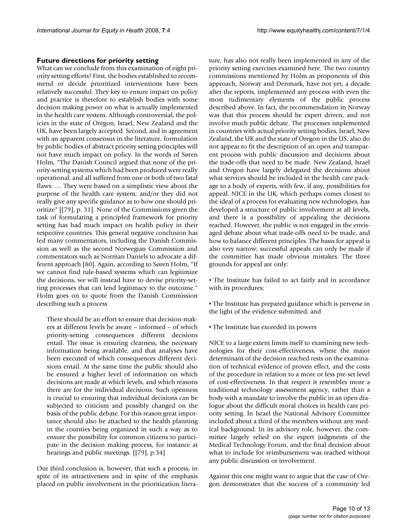#### **Future directions for priority setting**

What can we conclude from this examination of eight priority setting efforts? First, the bodies established to recommend or decide prioritized interventions have been relatively successful. They key to ensure impact on policy and practice is therefore to establish bodies with some decision making power on what is actually implemented in the health care system. Although controversial, the policies in the state of Oregon, Israel, New Zealand and the UK, have been largely accepted. Second, and in agreement with an apparent consensus in the literature, formulation by public bodies of abstract priority setting principles will not have much impact on policy. In the words of Søren Holm, "The Danish Council argued that none of the priority-setting systems which had been produced were really operational, and all suffered from one or both of two fatal flaws: .... They were based on a simplistic view about the purpose of the health care system; and/or they did not really give any specific guidance as to how one should prioritize" [[79], p. 31]. None of the Commissions given the task of formulating a principled framework for priority setting has had much impact on health policy in their respective countries. This general negative conclusion has led many commentators, including the Danish Commission as well as the second Norwegian Commission and commentators such as Norman Daniels to advocate a different approach [80]. Again, according to Søren Holm, "If we cannot find rule-based systems which can legitimize the decisions, we will instead have to devise priority-setting processes that can lend legitimacy to the outcome." Holm goes on to quote from the Danish Commission describing such a process

There should be an effort to ensure that decision-makers at different levels be aware – informed – of which priority-setting consequences different decisions entail. The issue is ensuring clearness, the necessary information being available, and that analyses have been executed of which consequences different decisions entail. At the same time the public should also be ensured a higher level of information on which decisions are made at which levels, and which reasons there are for the individual decisions. Such openness is crucial to ensuring that individual decisions can be subjected to criticism and possibly changed on the basis of the public debate. For this reason great importance should also be attached to the health planning in the counties being organized in such a way as to ensure the possibility for common citizens to participate in the decision making process, for instance at hearings and public meetings. [[79], p.34]

Our third conclusion is, however, that such a process, in spite of its attractiveness and in spite of the emphasis placed on public involvement in the prioritization literature, has also not really been implemented in any of the priority setting exercises examined here. The two country commissions mentioned by Holm as proponents of this approach, Norway and Denmark, have not yet, a decade after the reports, implemented any process with even the most rudimentary elements of the public process described above. In fact, the recommendation in Norway was that this process should be expert driven, and not involve much public debate. The processes implemented in countries with actual priority setting bodies, Israel, New Zealand, the UK and the state of Oregon in the US, also do not appear to fit the description of an open and transparent process with public discussion and decisions about the trade-offs that need to be made. New Zealand, Israel and Oregon have largely delegated the decisions about what services should be included in the health care package to a body of experts, with few, if any, possibilities for appeal. NICE in the UK, which perhaps comes closest to the ideal of a process for evaluating new technologies, has developed a structure of public involvement at all levels, and there is a possibility of appealing the decisions reached. However, the public is not engaged in the envisaged debate about what trade-offs need to be made, and how to balance different principles. The basis for appeal is also very narrow; successful appeals can only be made if the committee has made obvious mistakes. The three grounds for appeal are only:

- The Institute has failed to act fairly and in accordance with its procedures;
- The Institute has prepared guidance which is perverse in the light of the evidence submitted; and
- The Institute has exceeded its powers

NICE to a large extent limits itself to examining new technologies for their cost-effectiveness, where the major determinant of the decision reached rests on the examination of technical evidence of proven effect, and the costs of the procedure in relation to a more or less pre-set level of cost-effectiveness. In that respect it resembles more a traditional technology assessment agency, rather than a body with a mandate to involve the public in an open dialogue about the difficult moral choices in health care priority setting. In Israel the National Advisory Committee included about a third of the members without any medical background. In its advisory role, however, the committee largely relied on the expert judgments of the Medical Technology Forum, and the final decision about what to include for reimbursement was reached without any public discussion or involvement.

Against this one might want to argue that the case of Oregon demonstrates that the success of a community led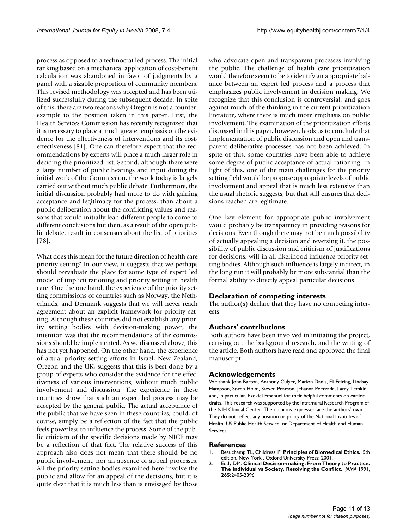process as opposed to a technocrat led process. The initial ranking based on a mechanical application of cost-benefit calculation was abandoned in favor of judgments by a panel with a sizable proportion of community members. This revised methodology was accepted and has been utilized successfully during the subsequent decade. In spite of this, there are two reasons why Oregon is not a counterexample to the position taken in this paper. First, the Health Services Commission has recently recognized that it is necessary to place a much greater emphasis on the evidence for the effectiveness of interventions and its costeffectiveness [81]. One can therefore expect that the recommendations by experts will place a much larger role in deciding the prioritized list. Second, although there were a large number of public hearings and input during the initial work of the Commission, the work today is largely carried out without much public debate. Furthermore, the initial discussion probably had more to do with gaining acceptance and legitimacy for the process, than about a public deliberation about the conflicting values and reasons that would initially lead different people to come to different conclusions but then, as a result of the open public debate, result in consensus about the list of priorities [78].

What does this mean for the future direction of health care priority setting? In our view, it suggests that we perhaps should reevaluate the place for some type of expert led model of implicit rationing and priority setting in health care. One the one hand, the experience of the priority setting commissions of countries such as Norway, the Netherlands, and Denmark suggests that we will never reach agreement about an explicit framework for priority setting. Although these countries did not establish any priority setting bodies with decision-making power, the intention was that the recommendations of the commissions should be implemented. As we discussed above, this has not yet happened. On the other hand, the experience of actual priority setting efforts in Israel, New Zealand, Oregon and the UK, suggests that this is best done by a group of experts who consider the evidence for the effectiveness of various interventions, without much public involvement and discussion. The experience in these countries show that such an expert led process may be accepted by the general public. The actual acceptance of the public that we have seen in these countries, could, of course, simply be a reflection of the fact that the public feels powerless to influence the process. Some of the public criticism of the specific decisions made by NICE may be a reflection of that fact. The relative success of this approach also does not mean that there should be no public involvement, nor an absence of appeal processes. All the priority setting bodies examined here involve the public and allow for an appeal of the decisions, but it is quite clear that it is much less than is envisaged by those who advocate open and transparent processes involving the public. The challenge of health care prioritization would therefore seem to be to identify an appropriate balance between an expert led process and a process that emphasizes public involvement in decision making. We recognize that this conclusion is controversial, and goes against much of the thinking in the current prioritization literature, where there is much more emphasis on public involvement. The examination of the prioritization efforts discussed in this paper, however, leads us to conclude that implementation of public discussion and open and transparent deliberative processes has not been achieved. In spite of this, some countries have been able to achieve some degree of public acceptance of actual rationing. In light of this, one of the main challenges for the priority setting field would be propose appropriate levels of public involvement and appeal that is much less extensive than the usual rhetoric suggests, but that still ensures that decisions reached are legitimate.

One key element for appropriate public involvement would probably be transparency in providing reasons for decisions. Even though there may not be much possibility of actually appealing a decision and reversing it, the possibility of public discussion and criticism of justifications for decisions, will in all likelihood influence priority setting bodies. Although such influence is largely indirect, in the long run it will probably be more substantial than the formal ability to directly appeal particular decisions.

#### **Declaration of competing interests**

The author(s) declare that they have no competing interests.

#### **Authors' contributions**

Both authors have been involved in initiating the project, carrying out the background research, and the writing of the article. Both authors have read and approved the final manuscript.

#### **Acknowledgements**

We thank John Barton, Anthony Culyer, Marion Danis, Eli Feiring, Lindsay Hampson, Søren Holm, Steven Pearson, Jehanna Peerzada, Larry Temkin and, in particular, Ezekiel Emanuel for their helpful comments on earlier drafts. This research was supported by the Intramural Research Program of the NIH Clinical Center. The opinions expressed are the authors' own. They do not reflect any position or policy of the National Institutes of Health, US Public Health Service, or Department of Health and Human Services.

#### **References**

- 1. Beauchamp TL, Childress JF: **Principles of Biomedical Ethics.** 5th edition. New York , Oxford University Press; 2001.
- 2. Eddy DM: **Clinical Decision-making: From Theory to Practice. The Individual vs Society. Resolving the Conflict.** *JAMA* 1991, **265:**2405-2396.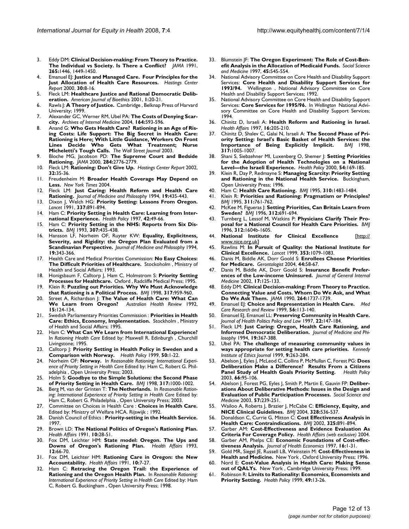- 3. Eddy DM: **Clinical Decision-making: From Theory to Practice. The Individual vs Society. Is There a Conflict?** *JAMA* 1991, **265:**1446, 1449-1450.
- 4. Emanuel EJ: **[Justice and Managed Care. Four Principles for the](http://www.ncbi.nlm.nih.gov/entrez/query.fcgi?cmd=Retrieve&db=PubMed&dopt=Abstract&list_uids=10862365) [Just Allocation of Health Care Resources.](http://www.ncbi.nlm.nih.gov/entrez/query.fcgi?cmd=Retrieve&db=PubMed&dopt=Abstract&list_uids=10862365)** *Hastings Center Report* 2000, **30:**8-16.
- 5. Fleck LM: **[Healthcare Justice and Rational Democratic Delib](http://www.ncbi.nlm.nih.gov/entrez/query.fcgi?cmd=Retrieve&db=PubMed&dopt=Abstract&list_uids=11951873)[eration.](http://www.ncbi.nlm.nih.gov/entrez/query.fcgi?cmd=Retrieve&db=PubMed&dopt=Abstract&list_uids=11951873)** *American Journal of Bioethics* 2001, **1:**20-21.
- 6. Rawls J: **A Theory of Justice.** Cambridge , Belknap Press of Harvard University; 1999.
- 7. Alexander GC, Werner RM, Ubel PA: **[The Costs of Denying Scar](http://www.ncbi.nlm.nih.gov/entrez/query.fcgi?cmd=Retrieve&db=PubMed&dopt=Abstract&list_uids=15037486)[city.](http://www.ncbi.nlm.nih.gov/entrez/query.fcgi?cmd=Retrieve&db=PubMed&dopt=Abstract&list_uids=15037486)** *Archives of Internal Medicine* 2004, **164:**593-596.
- 8. Anand G: **[Who Gets Health Care? Rationing in an Age of Ris](http://www.ncbi.nlm.nih.gov/entrez/query.fcgi?cmd=Retrieve&db=PubMed&dopt=Abstract&list_uids=14971381)ing Costs: Life Support: The Big Secret in Health Care: [Rationing is Here; With Little Guidance, Workers On Front](http://www.ncbi.nlm.nih.gov/entrez/query.fcgi?cmd=Retrieve&db=PubMed&dopt=Abstract&list_uids=14971381) Lines Decide Who Gets What Treatment; Nurse [Micheletti's Tough Calls.](http://www.ncbi.nlm.nih.gov/entrez/query.fcgi?cmd=Retrieve&db=PubMed&dopt=Abstract&list_uids=14971381)** *The Wall Street Journal* 2003.
- 9. Bloche MG, Jacobson PD: **[The Supreme Court and Bedside](http://www.ncbi.nlm.nih.gov/entrez/query.fcgi?cmd=Retrieve&db=PubMed&dopt=Abstract&list_uids=11105185) [Rationing.](http://www.ncbi.nlm.nih.gov/entrez/query.fcgi?cmd=Retrieve&db=PubMed&dopt=Abstract&list_uids=11105185)** *JAMA* 2000, **284:**2776-2779.
- 10. Fleck LM: **[Rationing: Don't Give Up.](http://www.ncbi.nlm.nih.gov/entrez/query.fcgi?cmd=Retrieve&db=PubMed&dopt=Abstract&list_uids=11998768)** *Hastings Center Report* 2002, **32:**35-36.
- 11. Freudenheim M: **Broader Health Coverage May Depend on Less.** *New York Times* 2004.
- 12. Fleck LM: **Just Caring: Health Reform and Health Care Rationing.** *Journal of Medicine and Philosophy* 1994, **19:**435-443.
- 13. Dixon J, Welch HG: **[Priority Setting: Lessons From Oregon.](http://www.ncbi.nlm.nih.gov/entrez/query.fcgi?cmd=Retrieve&db=PubMed&dopt=Abstract&list_uids=1672977)** *Lancet* 1991, **337:**891-894.
- 14. Ham C: **[Priority Setting in Health Care: Learning from Inter](http://www.ncbi.nlm.nih.gov/entrez/query.fcgi?cmd=Retrieve&db=PubMed&dopt=Abstract&list_uids=10173493)[national Experience.](http://www.ncbi.nlm.nih.gov/entrez/query.fcgi?cmd=Retrieve&db=PubMed&dopt=Abstract&list_uids=10173493)** *Health Policy* 1997, **42:**49-66.
- 15. Ham C: **[Priority Setting in the NHS: Reports from Six Dis](http://www.ncbi.nlm.nih.gov/entrez/query.fcgi?cmd=Retrieve&db=PubMed&dopt=Abstract&list_uids=8374459)[tricts.](http://www.ncbi.nlm.nih.gov/entrez/query.fcgi?cmd=Retrieve&db=PubMed&dopt=Abstract&list_uids=8374459)** *BMJ* 1993, **307:**435-438.
- 16. Hansson LF, Norheim OF, Ruyter KW: **Equality, Explicitness, Severity, and Rigidity: the Oregon Plan Evaluated from a Scandinavian Perspective.** *Journal of Medicine and Philosophy* 1994, **19:**343-366.
- 17. Health Care and Medical Priorities Commission: **No Easy Choices: The Difficult Priorities of Healthcare.** Stockoholm , Ministry of Health and Social Affairs; 1993.
- 18. Honigsbaum F, Calltorp J, Ham C, Holmstrom S: **Priority Setting Processes for Healthcare.** Oxford , Radcliffe Medical Press; 1995.
- 19. Klein R: **[Puzzling out Priorities. Why We Must Acknowledge](http://www.ncbi.nlm.nih.gov/entrez/query.fcgi?cmd=Retrieve&db=PubMed&dopt=Abstract&list_uids=9765158) [that Rationing is a Political Process.](http://www.ncbi.nlm.nih.gov/entrez/query.fcgi?cmd=Retrieve&db=PubMed&dopt=Abstract&list_uids=9765158)** *BMJ* 1998, **317:**959-960.
- 20. Street A, Richardson J: **[The Value of Health Care: What Can](http://www.ncbi.nlm.nih.gov/entrez/query.fcgi?cmd=Retrieve&db=PubMed&dopt=Abstract&list_uids=10119044) [We Learn from Oregon?](http://www.ncbi.nlm.nih.gov/entrez/query.fcgi?cmd=Retrieve&db=PubMed&dopt=Abstract&list_uids=10119044)** *Australian Health Review* 1992, **15:**124-134.
- 21. Swedish Parliamentary Priorities Commission : **Priorities in Health Care: Ethics, Economy, Implementation.** Stockholm , Ministry of Health and Social Affairs; 1995.
- 22. Ham C: **What Can We Learn from International Experience?** In *Rationing Health Care* Edited by: Maxwell R. Edinburgh , Churchill Livingstone; 1995.
- 23. Calltorp J: **[Priority Setting in Health Policy in Sweden and a](http://www.ncbi.nlm.nih.gov/entrez/query.fcgi?cmd=Retrieve&db=PubMed&dopt=Abstract&list_uids=10827297) [Comparison with Norway.](http://www.ncbi.nlm.nih.gov/entrez/query.fcgi?cmd=Retrieve&db=PubMed&dopt=Abstract&list_uids=10827297)** *Health Policy* 1999, **50:**1-22.
- 24. Norheim OF: **Norway.** In *Reasonable Rationing: International Experience of Priority Setting in Health Care* Edited by: Ham C, Robert G. Philadelphia , Open University Press; 2003.
- 25. Holm S: **Goodbye to the Simple Solutions: the Second Phase of Priority Setting in Health Care.** *BMJ* 1998, **317:**1000-1002.
- 26. Berg M, van der Grinten T: **The Netherlands.** In *Reasonable Rationing: International Experience of Priority Setting in Health Care* Edited by: Ham C, Robert G. Philadelphia, Open University Press; 2003.
- 27. Committee on Choices in Health Care : **Choices in Health Care.** Edited by: Ministry of Welfare HCA. Rijswijk ; 1992.
- 28. Danish Council of Ethics : **Priority-setting in the Health Service.** 1997.
- 29. Brown LD: **[The National Politics of Oregon's Rationing Plan.](http://www.ncbi.nlm.nih.gov/entrez/query.fcgi?cmd=Retrieve&db=PubMed&dopt=Abstract&list_uids=1909292)** *Health Affairs* 1991, **10:**28-51.
- 30. Fox DM, Leichter HM: **[State model: Oregon. The Ups and](http://www.ncbi.nlm.nih.gov/entrez/query.fcgi?cmd=Retrieve&db=PubMed&dopt=Abstract&list_uids=8375824) [Downs of Oregon's Rationing Plan.](http://www.ncbi.nlm.nih.gov/entrez/query.fcgi?cmd=Retrieve&db=PubMed&dopt=Abstract&list_uids=8375824)** *Health Affairs* 1993, **12:**66-70.
- 31. Fox DM, Leichter HM: **[Rationing Care in Oregon: the New](http://www.ncbi.nlm.nih.gov/entrez/query.fcgi?cmd=Retrieve&db=PubMed&dopt=Abstract&list_uids=1885148) [Accountability.](http://www.ncbi.nlm.nih.gov/entrez/query.fcgi?cmd=Retrieve&db=PubMed&dopt=Abstract&list_uids=1885148)** *Health Affairs* 1991, **10:**7-27.
- 32. Ham C: **Retracing the Oregon Trail: the Experience of Rationing and the Oregon Health Plan.** In *Reasonable Rationing: International Experience of Priority Setting in Health Care* Edited by: Ham C, Robert G. Buckingham , Open University Press; 1998.
- 33. Blumstein JF: **The Oregon Experiment: The Role of Cost-Benefit Analysis in the Allocation of Medicaid Funds.** *Social Science and Medicine* 1997, **45:**545-554.
- 34. National Advisory Committee on Core Health and Disability Support Services: **Core Health and Disability Support Services for 1993/94.** Wellington , National Advisory Committee on Core Health and Disability Support Services; 1992.
- 35. National Advisory Committee on Core Health and Disability Support Services: **Core Services for 1995/96.** In *Wellington* National Advisory Committee on Core Health and Disability Support Services; 1994.
- 36. Chinitz D, Israeli A: **[Health Reform and Rationing in Israel.](http://www.ncbi.nlm.nih.gov/entrez/query.fcgi?cmd=Retrieve&db=PubMed&dopt=Abstract&list_uids=9314691)** *Health Affairs* 1997, **16:**205-210.
- 37. Chinitz D, Shalev C, Galai N, Israeli A: **[The Second Phase of Pri](http://www.ncbi.nlm.nih.gov/entrez/query.fcgi?cmd=Retrieve&db=PubMed&dopt=Abstract&list_uids=9841023)[ority Setting: Israel's Basic Basket of Health Services: the](http://www.ncbi.nlm.nih.gov/entrez/query.fcgi?cmd=Retrieve&db=PubMed&dopt=Abstract&list_uids=9841023) Importance of Being Explicitly Implicit.** BMJ 1998. [Importance of Being Explicitly Implicit.](http://www.ncbi.nlm.nih.gov/entrez/query.fcgi?cmd=Retrieve&db=PubMed&dopt=Abstract&list_uids=9841023) **317:**1005-1007.
- 38. Shani S, Siebzehner MI, Luxenberg O, Shemer J: **[Setting Priorities](http://www.ncbi.nlm.nih.gov/entrez/query.fcgi?cmd=Retrieve&db=PubMed&dopt=Abstract&list_uids=11154787) [for the Adoption of Health Technologies on a National](http://www.ncbi.nlm.nih.gov/entrez/query.fcgi?cmd=Retrieve&db=PubMed&dopt=Abstract&list_uids=11154787) [Level—the Israeli Experience.](http://www.ncbi.nlm.nih.gov/entrez/query.fcgi?cmd=Retrieve&db=PubMed&dopt=Abstract&list_uids=11154787)** *Health Policy* 2000, **54:**169-185.
- 39. Klein R, Day P, Redmayne S: **Managing Scarcity: Priority Setting and Rationing in the National Health Service.** Buckingham,
- Open University Press; 1996. 40. Ham C: **[Health Care Rationing.](http://www.ncbi.nlm.nih.gov/entrez/query.fcgi?cmd=Retrieve&db=PubMed&dopt=Abstract&list_uids=7787583)** *BMJ* 1995, **310:**1483-1484.
- 41. Klein R: **[Priorities and Rationing: Pragmatism or Principles?](http://www.ncbi.nlm.nih.gov/entrez/query.fcgi?cmd=Retrieve&db=PubMed&dopt=Abstract&list_uids=7580427)** *BMJ* 1995, **311:**761-762.
- 42. McKee M, Figueras J: **[Setting Priorities, Can Britain Learn from](http://www.ncbi.nlm.nih.gov/entrez/query.fcgi?cmd=Retrieve&db=PubMed&dopt=Abstract&list_uids=8597740) [Sweden?](http://www.ncbi.nlm.nih.gov/entrez/query.fcgi?cmd=Retrieve&db=PubMed&dopt=Abstract&list_uids=8597740)** *BMJ* 1996, **312:**691-694.
- 43. Turnberg L, Lessof M, Watkins P: **Physicians Clarify Their Proposal for a National Council for Health Care Priorities.** *BMJ* 1996, **312:**1604b-1605.
- 44. **National Institute for Clinical Excellence** [\[http://](http://www.nice.org.uk ) [www.nice.org.uk\]](http://www.nice.org.uk )
- 45. Rawlins M: **[In Pursuit of Quality: the National Institute for](http://www.ncbi.nlm.nih.gov/entrez/query.fcgi?cmd=Retrieve&db=PubMed&dopt=Abstract&list_uids=10199366) [Clinical Excellence.](http://www.ncbi.nlm.nih.gov/entrez/query.fcgi?cmd=Retrieve&db=PubMed&dopt=Abstract&list_uids=10199366)** *Lancet* 1999, **353:**1079-1083.
- 46. Danis M, Biddle AK, Dorr Goold S: **[Enrollees Choose Priorities](http://www.ncbi.nlm.nih.gov/entrez/query.fcgi?cmd=Retrieve&db=PubMed&dopt=Abstract&list_uids=14978321) [for Medicare.](http://www.ncbi.nlm.nih.gov/entrez/query.fcgi?cmd=Retrieve&db=PubMed&dopt=Abstract&list_uids=14978321)** *Gerontologist* 2004, **44:**58-67.
- 47. Danis M, Biddle AK, Dorr Goold S: **[Insurance Benefit Prefer](http://www.ncbi.nlm.nih.gov/entrez/query.fcgi?cmd=Retrieve&db=PubMed&dopt=Abstract&list_uids=11841528)[ences of the Low-income Uninsured.](http://www.ncbi.nlm.nih.gov/entrez/query.fcgi?cmd=Retrieve&db=PubMed&dopt=Abstract&list_uids=11841528)** *Journal of General Internal Medicine* 2002, **17:**125-133.
- 48. Eddy DM: **[Clinical Decision-making: From Theory to Practice.](http://www.ncbi.nlm.nih.gov/entrez/query.fcgi?cmd=Retrieve&db=PubMed&dopt=Abstract&list_uids=2398615) [Connecting Value and Costs. Whom Do We Ask, and What](http://www.ncbi.nlm.nih.gov/entrez/query.fcgi?cmd=Retrieve&db=PubMed&dopt=Abstract&list_uids=2398615) [Do We Ask Them.](http://www.ncbi.nlm.nih.gov/entrez/query.fcgi?cmd=Retrieve&db=PubMed&dopt=Abstract&list_uids=2398615)** *JAMA* 1990, **264:**1737-1739.
- 49. Emanuel EJ: **Choice and Representation in Health Care.** *Med Care Research and Review* 1999, **56:**113-140.
- 50. Emanuel EJ, Emanuel LL: **Preserving Community in Health Care.** *Journal of Health Politics Policy and Law* 1997, **22:**147-184.
- 51. Fleck LM: **Just Caring: Oregon, Health Care Rationing, and Informed Democratic Deliberation.** *Journal of Medicine and Philosophy* 1994, **19:**367-388.
- 52. Ubel PA: **[The challenge of measuring community values in](http://www.ncbi.nlm.nih.gov/entrez/query.fcgi?cmd=Retrieve&db=PubMed&dopt=Abstract&list_uids=11657717) [ways appropriate for setting health care priorities.](http://www.ncbi.nlm.nih.gov/entrez/query.fcgi?cmd=Retrieve&db=PubMed&dopt=Abstract&list_uids=11657717)** *Kennedy Institute of Ethics Journal* 1999, **9:**263-284.
- 53. Abelson J, Eyles J, McLeod C, Collins P, McMullan C, Forest PG: **[Does](http://www.ncbi.nlm.nih.gov/entrez/query.fcgi?cmd=Retrieve&db=PubMed&dopt=Abstract&list_uids=14499168) [Deliberation Make a Difference? Results From a Citizens](http://www.ncbi.nlm.nih.gov/entrez/query.fcgi?cmd=Retrieve&db=PubMed&dopt=Abstract&list_uids=14499168) [Panel Study of Health Goals Priority Setting.](http://www.ncbi.nlm.nih.gov/entrez/query.fcgi?cmd=Retrieve&db=PubMed&dopt=Abstract&list_uids=14499168)** *Health Policy* 2003, **66:**95-106.
- 54. Abelson J, Forest PG, Eyles J, Smith P, Martin E, Gauvin FP: **Deliberations About Deliberative Methods: Issues in the Design and Evaluation of Public Participation Processes.** *Social Science and Medicine* 2003, **57:**239-251.
- 55. Wailoo A, Roberts J, Brazier J, McCabe C: **[Efficiency, Equity, and](http://www.ncbi.nlm.nih.gov/entrez/query.fcgi?cmd=Retrieve&db=PubMed&dopt=Abstract&list_uids=15001481) [NICE Clinical Guidelines.](http://www.ncbi.nlm.nih.gov/entrez/query.fcgi?cmd=Retrieve&db=PubMed&dopt=Abstract&list_uids=15001481)** *BMJ* 2004, **328:**536-537.
- 56. Donaldson C, Currie G, Mitton C: **[Cost Effectiveness Analysis in](http://www.ncbi.nlm.nih.gov/entrez/query.fcgi?cmd=Retrieve&db=PubMed&dopt=Abstract&list_uids=12386045) [Health Care: Contraindications.](http://www.ncbi.nlm.nih.gov/entrez/query.fcgi?cmd=Retrieve&db=PubMed&dopt=Abstract&list_uids=12386045)** *BMJ* 2002, **325:**891-894.
- 57. Garber AM: **Cost-Effectiveness and Evidence Evaluation As Criteria For Coverage Policy.** *Health Affairs (web exclusive)* 2004.
- 58. Garber AM, Phelps CE: **[Economic Foundations of Cost-effec](http://www.ncbi.nlm.nih.gov/entrez/query.fcgi?cmd=Retrieve&db=PubMed&dopt=Abstract&list_uids=10167341)[tiveness Analysis.](http://www.ncbi.nlm.nih.gov/entrez/query.fcgi?cmd=Retrieve&db=PubMed&dopt=Abstract&list_uids=10167341)** *Journal of Health Economics* 1997, **16:**1-31.
- 59. Gold MR, Siegel JE, Russell LB, Weinstein M: **Cost-Effectiveness in Health and Medicine.** New York , Oxford University Press; 1996.
- 60. Nord E: **Cost-Value Analysis in Health Care: Making Sense** out of **QALYs.** New York, Cambridge University Press; 1999.
- 61. Robinson R: **[Limits to Rationality: Economics, Economists and](http://www.ncbi.nlm.nih.gov/entrez/query.fcgi?cmd=Retrieve&db=PubMed&dopt=Abstract&list_uids=10827288) [Priority Setting.](http://www.ncbi.nlm.nih.gov/entrez/query.fcgi?cmd=Retrieve&db=PubMed&dopt=Abstract&list_uids=10827288)** *Health Policy* 1999, **49:**13-26.